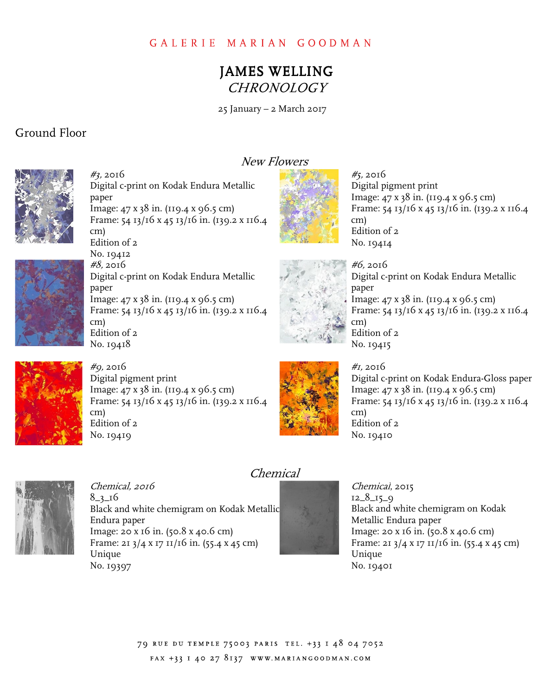# JAMES WELLING CHRONOLOGY

25 January – 2 March 2017

## Ground Floor



 Digital c-print on Kodak Endura Metallic paper paper<br>Image: 47 x 38 in. (119.4 x 96.5 cm) Frame: 54 13/16 x 45 13/16 in. (139.2 x 116.4 Edition of 2 Digital c-print on Kodak Endura Metallic paper paper<br>Image: 47 x 38 in. (119.4 x 96.5 cm) #3, 2016 cm) No. 19412 #8, 2016

## New Flowers



 Digital pigment print Image: 47 x 38 in. (119.4 x 96.5 cm) Frame: 54 13/16 x 45 13/16 in. (139.2 x 116.4 Edition of 2 #5, 2016 cm) No. 19414



 Frame: 54 13/16 x 45 13/16 in. (139.2 x 116.4 Edition of 2 cm) No. 19418



#6, 2016

 Digital c-print on Kodak Endura Metallic paper paper<br>Image: 47 x 38 in. (119.4 x 96.5 cm) Frame: 54 13/16 x 45 13/16 in. (139.2 x 116.4 Edition of 2 cm) No. 19415



 Digital pigment print Image: 47 x 38 in. (119.4 x 96.5 cm) Frame: 54 13/16 x 45 13/16 in. (139.2 x 116.4 Edition of 2 #9, 2016 cm) No. 19419



 Digital c-print on Kodak Endura-Gloss paper Image: 47 x 38 in. (119.4 x 96.5 cm) Frame: 54 13/16 x 45 13/16 in. (139.2 x 116.4 Edition of 2 #1, 2016 cm) No. 19410



 $8 - 3 - 16$ 8\_3\_16<br>Black and white chemigram on Kodak Metallic Endura paper Image: 20 x 16 in. (50.8 x 40.6 cm) Frame: 21 3/4 x 17 11/16 in. (55.4 x 45 cm) No. 19397 Chemical, 2016 Unique

## Chemical

 Black and white chemigram on Kodak Metallic Endura paper Image: 20 x 16 in. (50.8 x 40.6 cm) Frame: 21 3/4 x 17 11/16 in. (55.4 x 45 cm) No. 19401 Chemical, 2015  $12\_8\_15\_9$ Unique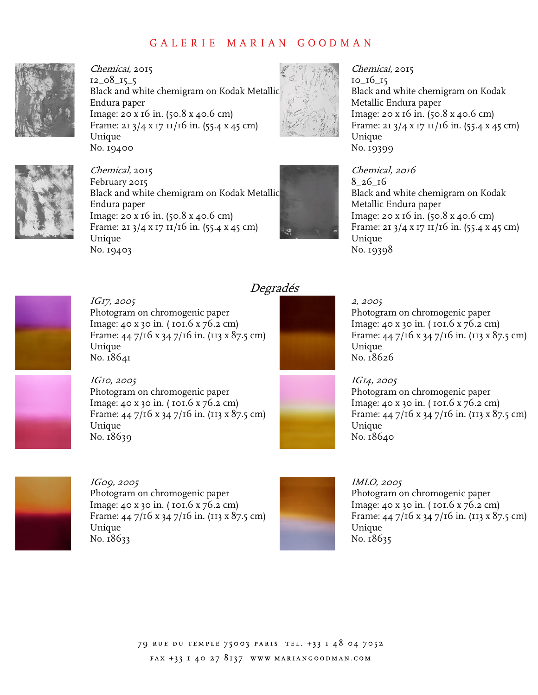

 Black and white chemigram on Kodak Metallic Endura paper Image: 20 x 16 in. (50.8 x 40.6 cm) Frame: 21 3/4 x 17 11/16 in. (55.4 x 45 cm) No. 19400 Chemical, 2015 12\_08\_15\_5 Unique

Black and white chemigram on Kodak Metallic



 Black and white chemigram on Kodak Metallic Endura paper Image: 20 x 16 in. (50.8 x 40.6 cm) Frame: 21 3/4 x 17 11/16 in. (55.4 x 45 cm) No. 19399 Chemical, 2015 10\_16\_15 Unique

 Black and white chemigram on Kodak Metallic Endura paper Image: 20 x 16 in. (50.8 x 40.6 cm) Frame: 21 3/4 x 17 11/16 in. (55.4 x 45 cm) Unique Unique<br>No. 19398 Chemical, 2016 8\_26\_16



 Image: 20 x 16 in. (50.8 x 40.6 cm) Frame: 21 3/4 x 17 11/16 in. (55.4 x 45 cm)

February 2015

Chemical, 2015

Endura paper

No. 19403

Unique

 IG17, 2005 Photogram on chromogenic paper Image: 40 x 30 in. ( 101.6 x 76.2 cm) Frame: 44 7/16 x 34 7/16 in. (113 x 87.5 cm) No. 18641 Unique



Degradés

#### 2, 2005

 Photogram on chromogenic paper Image: 40 x 30 in. ( 101.6 x 76.2 cm) Frame: 44 7/16 x 34 7/16 in. (113 x 87.5 cm) No. 18626 Unique

 Photogram on chromogenic paper Image: 40 x 30 in. ( 101.6 x 76.2 cm) Frame: 44 7/16 x 34 7/16 in. (113 x 87.5 cm) No. 18639 IG10, 2005 Unique



#### IG14, 2005 Photogram on chromogenic paper Image: 40 x 30 in. ( 101.6 x 76.2 cm) Frame: 44 7/16 x 34 7/16 in. (113 x 87.5 cm) No. 18640 Unique



 IG09, 2005 IMLO, 2005 Photogram on chromogenic paper **Photogram on chromogenic paper** Photogram on chromogenic paper Image: 40 x 30 in. (101.6 x 76.2 cm) Frame: 44 7/16 x 34 7/16 in. (113 x 87.5 cm) No. 18633 Image: 40 x 30 in. (101.6 x 76.2 cm) Image: 40 x 30 in. (101.6 x 76.2 cm) Frame: 44 7/16 x 34 7/16 in. (113 x 87.5 cm) Frame: 44 7/16 x 34 7/16 in. (113 x 87.5 cm) No. 18633 No. 18635 Unique Unique Unique



# IMLO, 2005 Photogram on chromogenic paper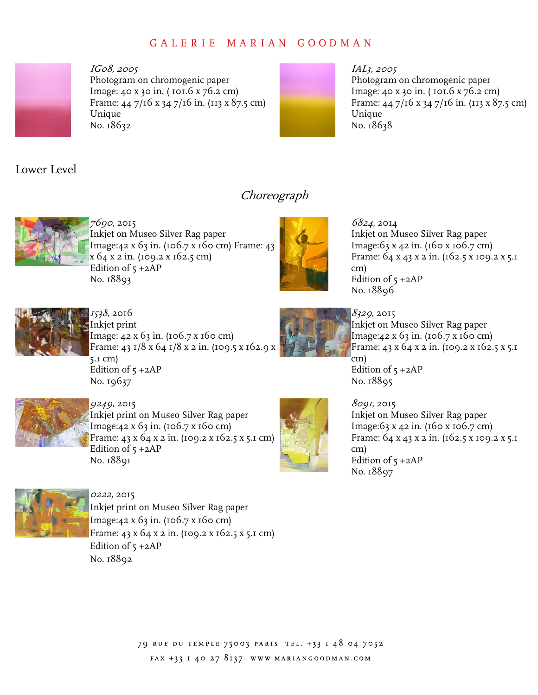

 IG08, 2005 Photogram on chromogenic paper Image: 40 x 30 in. ( 101.6 x 76.2 cm) Frame: 44 7/16 x 34 7/16 in. (113 x 87.5 cm) Unique Unique<br>No. 18632



#### IAL3, 2005 Photogram on chromogenic paper Image: 40 x 30 in. ( 101.6 x 76.2 cm) Frame: 44 7/16 x 34 7/16 in. (113 x 87.5 cm) Unique No. 18638

Lower Level



7690, 2015 Inkjet on Museo Silver Rag paper Image:42 x 63 in. (106.7 x 160 cm) Frame: 43 x 64 x 2 in. (109.2 x 162.5 cm) Edition of  $5 + 2AP$ No. 18893



**Choreograph** 

 6824, 2014 Inkjet on Museo Silver Rag paper Image:63 x 42 in. (160 x 106.7 cm) Frame: 64 x 43 x 2 in. (162.5 x 109.2 x 5.1 Edition of  $5 + 2AP$  No. 18896 cm)



 1538, 2016 Inkjet print Image: 42 x 63 in. (106.7 x 160 cm) [Frame: 43 1/8 x 64 1/8 x 2 in. \(109.5 x 162.9 x](https://Frame:431/8x641/8x2in.(109.5x162.9x)  5.1 cm) Edition of  $5 + 2AP$ No. 19637



*8329*, 2015 Inkjet on Museo Silver Rag paper Image:42 x 63 in. (106.7 x 160 cm) Frame: 43 x 64 x 2 in. (109.2 x 162.5 x 5.1 Edition of  $5 + 2AP$ cm) No. 18895



 9249, 2015 Inkjet print on Museo Silver Rag paper Image:42 x 63 in. (106.7 x 160 cm) Frame: 43 x 64 x 2 in. (109.2 x 162.5 x 5.1 cm) Edition of  $5 + 2AP$ No. 18891



*8091*, 2015 Inkjet on Museo Silver Rag paper Image:63 x 42 in. (160 x 106.7 cm) Frame: 64 x 43 x 2 in. (162.5 x 109.2 x 5.1 Edition of  $5 + 2AP$  No. 18897 cm)



 Inkjet print on Museo Silver Rag paper Image:42 x 63 in. (106.7 x 160 cm) Frame: 43 x 64 x 2 in. (109.2 x 162.5 x 5.1 cm) Edition of  $5 + 2AP$ 0222, 2015 No. 18892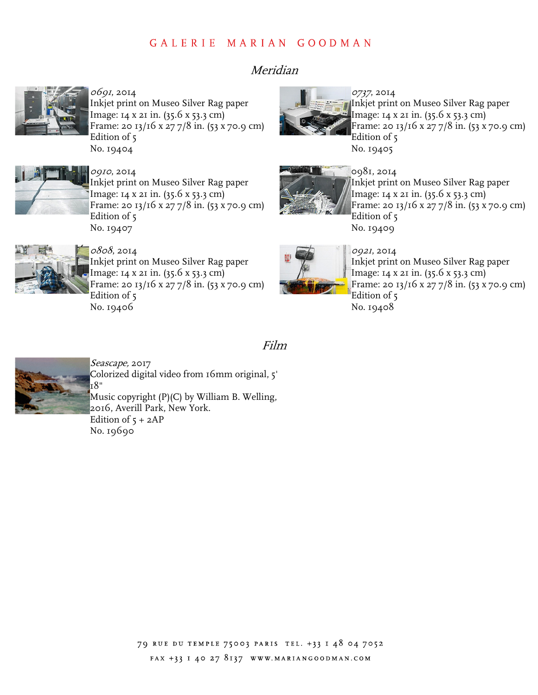# Meridian



*0691*, 2014 Inkjet print on Museo Silver Rag paper Image: 14 x 21 in. (35.6 x 53.3 cm) Frame: 20 13/16 x 27 7/8 in. (53 x 70.9 cm) Edition of 5 No. 19404



 0910, 2014 Inkjet print on Museo Silver Rag paper Image: 14 x 21 in. (35.6 x 53.3 cm) Frame: 20 13/16 x 27 7/8 in. (53 x 70.9 cm) Edition of 5 No. 19407



 0737, 2014 Inkjet print on Museo Silver Rag paper Image: 14 x 21 in. (35.6 x 53.3 cm) Frame: 20 13/16 x 27 7/8 in. (53 x 70.9 cm) Edition of 5 No. 19405



 Inkjet print on Museo Silver Rag paper Image: 14 x 21 in. (35.6 x 53.3 cm) Frame: 20 13/16 x 27 7/8 in. (53 x 70.9 cm) Edition of 5 No. 19409



*0808*, 2014 Inkjet print on Museo Silver Rag paper Image: 14 x 21 in. (35.6 x 53.3 cm) Frame: 20 13/16 x 27 7/8 in. (53 x 70.9 cm) Edition of 5 No. 19406



Film

 0921, 2014 Inkjet print on Museo Silver Rag paper Image: 14 x 21 in. (35.6 x 53.3 cm) Frame: 20 13/16 x 27 7/8 in. (53 x 70.9 cm) Edition of 5 No. 19408



 Colorized digital video from 16mm original, 5' Music copyright (P)(C) by William B. Welling, 2016, Averill Park, New York. Edition of  $5 + 2AP$ Seascape, 2017 18" No. 19690

> 79 RUE DU TEMPLE 75003 PARIS TEL. +33 I 48 04 7052 FAX +33 I 40 27 8137 WWW.MARIANGOODMAN.COM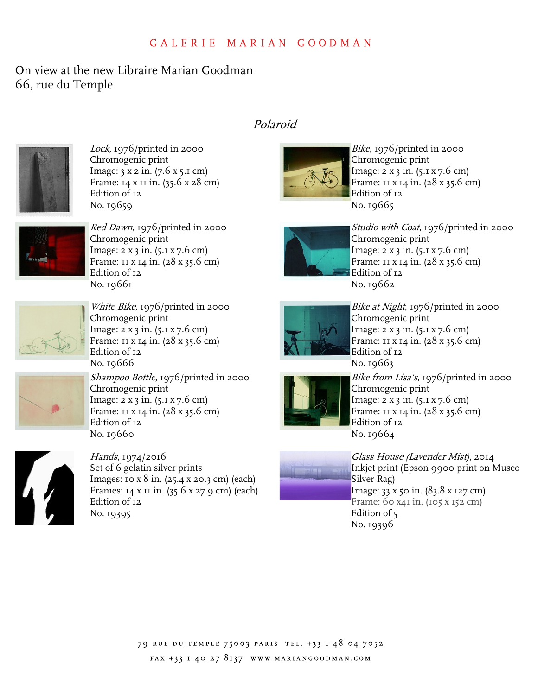# On view at the new Libraire Marian Goodman 66, rue du Temple



 Lock, 1976/printed in 2000 Chromogenic print Image: 3 x 2 in. (7.6 x 5.1 cm) Frame: 14 x 11 in. (35.6 x 28 cm) Edition of 12 No. 19659



 Red Dawn, 1976/printed in 2000 Chromogenic print Image: 2 x 3 in. (5.1 x 7.6 cm) Frame: 11 x 14 in. (28 x 35.6 cm) Edition of 12 No. 19661



White Bike, 1976/printed in 2000 Chromogenic print Image: 2 x 3 in. (5.1 x 7.6 cm) Frame: 11 x 14 in. (28 x 35.6 cm) Edition of 12 No. 19666



*Shampoo Bottle*, 1976/printed in 2000 Chromogenic print Image: 2 x 3 in. (5.1 x 7.6 cm) Frame: 11 x 14 in. (28 x 35.6 cm) Edition of 12 No. 19660



*Hands,* 1974/2016 Set of 6 gelatin silver prints Images: 10 x 8 in. (25.4 x 20.3 cm) (each) Frames: 14 x 11 in. (35.6 x 27.9 cm) (each) Edition of 12 No. 19395

# Polaroid



*Bike*, 1976/printed in 2000 Chromogenic print Image: 2 x 3 in. (5.1 x 7.6 cm) Frame: 11 x 14 in. (28 x 35.6 cm) Edition of 12 No. 19665



*Studio with Coat*, 1976/printed in 2000 Chromogenic print Image: 2 x 3 in. (5.1 x 7.6 cm) Frame: 11 x 14 in. (28 x 35.6 cm) Edition of 12 No. 19662



 Bike at Night, 1976/printed in 2000 Chromogenic print Image: 2 x 3 in. (5.1 x 7.6 cm) Frame: 11 x 14 in. (28 x 35.6 cm) Edition of 12 No. 19663



 Bike from Lisa's, 1976/printed in 2000 Chromogenic print Image: 2 x 3 in. (5.1 x 7.6 cm) Frame: 11 x 14 in. (28 x 35.6 cm) Edition of 12 No. 19664

| ٠ |  |
|---|--|
|   |  |

 Glass House (Lavender Mist), 2014 Inkjet print (Epson 9900 print on Museo Silver Rag) Image: 33 x 50 in. (83.8 x 127 cm) Frame: 60 x41 in. (105 x 152 cm) Edition of 5 No. 19396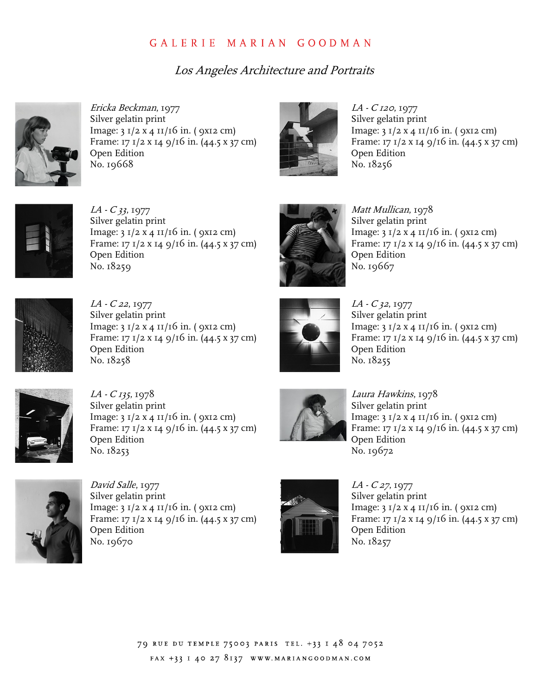# Los Angeles Architecture and Portraits



 Ericka Beckman, 1977 Silver gelatin print Image: 3 1/2 x 4 11/16 in. ( 9x12 cm) Frame: 17 1/2 x 14 9/16 in. (44.5 x 37 cm) Open Edition No. 19668



 LA - <sup>C</sup> <sup>120</sup>, 1977 Silver gelatin print Image: 3 1/2 x 4 11/16 in. ( 9x12 cm) Frame: 17 1/2 x 14 9/16 in. (44.5 x 37 cm) Open Edition No. 18256



 LA - <sup>C</sup> 33, 1977 Silver gelatin print Image: 3 1/2 x 4 11/16 in. ( 9x12 cm) Frame: 17 1/2 x 14 9/16 in. (44.5 x 37 cm) Open Edition No. 18259



 Matt Mullican, 1978 Silver gelatin print Image: 3 1/2 x 4 11/16 in. ( 9x12 cm) Frame: 17 1/2 x 14 9/16 in. (44.5 x 37 cm) Open Edition No. 19667



LA - C 22, 1977 Silver gelatin print Image: 3 1/2 x 4 11/16 in. ( 9x12 cm) Image: 3 1/2 x 4 11/16 in. ( 9x12 cm) Frame: 17 1/2 x 14 9/16 in.  $(44.5 x 37 cm)$ Open Edition No. 18258  $LA - C$  22, 1977  $LA - C$  32, 1977 Silver gelatin print Silver gelatin print Frame: 17 1/2 x 14 9/16 in. (44.5 x 37 cm) Frame: 17 1/2 x 14 9/16 in. (44.5 x 37 cm) Open Edition **Open Edition** 



Image:  $3 \frac{1}{2} x 4 \frac{11}{16}$  in. (9x12 cm) No. 18255



 $LA - C$  135, 1978 Silver gelatin print Silver gelatin print Image: 3 1/2 x 4 11/16 in. ( 9x12 cm) Image: 3 1/2 x 4 11/16 in. ( 9x12 cm) Open Edition No. 18253 LA - <sup>C</sup> 135, 1978 Laura Hawkins, 1978 Open Edition **Open Edition** No. 18253 No. 19672



Frame: 17 1/2 x 14 9/16 in. (44.5 x 37 cm) Frame: 17 1/2 x 14 9/16 in. (44.5 x 37 cm) Silver gelatin print Image:  $3 \frac{1}{2} x 4 \frac{11}{16}$  in. (9x12 cm) Frame: 17 1/2 x 14 9/16 in. (44.5 x 37 cm)



*David Salle,* 1977  $LA - C 27, 1977$ Silver gelatin print Image:  $3 \frac{1}{2} x 4 \frac{11}{16}$  in. (9x12 cm) Frame: 17 1/2 x 14 9/16 in. (44.5 x 37 cm) **1 Frame: 17 1/2 x 14 9/16 in. (44.5 x 37 cm)** Open Edition Silver gelatin print 2 Silver gelatin print Image:  $3 \frac{1}{2} \times 4 \frac{11}{16}$  in. (9x12 cm) , Image:  $3 \frac{1}{2} \times 4 \frac{11}{16}$  in. (9x12 cm) Open Edition **Open Edition** No. 19670 No. 18257



 $LA - C27, 1977$ Frame: 17 1/2 x 14 9/16 in.  $(44.5 \times 37 \text{ cm})$